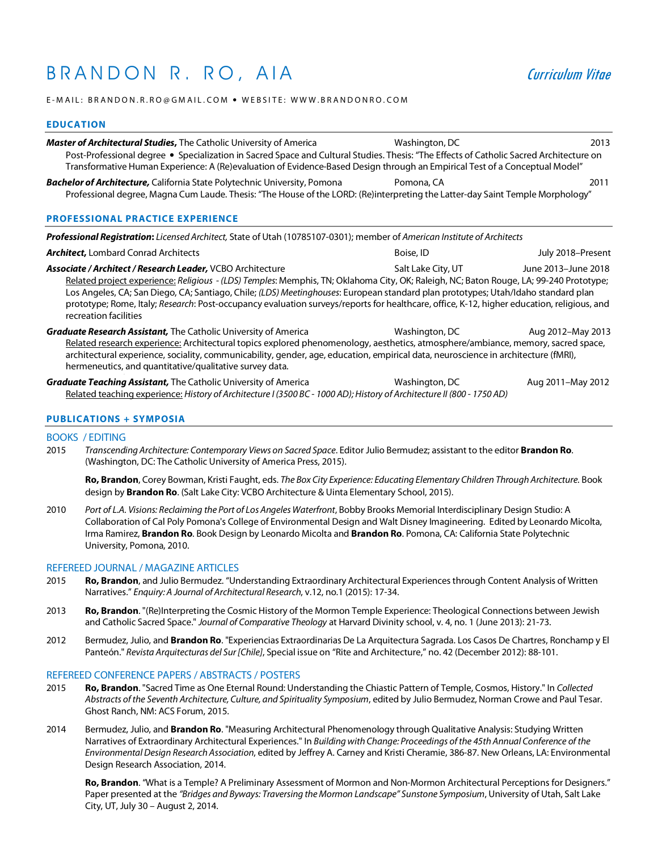# B R A N D O N R . R O , A I A Curriculum Vitae

E-MAIL: BRANDON.R.RO@GMAIL.COM • WEBSITE: WWW.BRANDONRO.COM

## **EDUCATION**

| <b>Master of Architectural Studies, The Catholic University of America</b><br>Post-Professional degree • Specialization in Sacred Space and Cultural Studies. Thesis: "The Effects of Catholic Sacred Architecture on<br>Transformative Human Experience: A (Re)evaluation of Evidence-Based Design through an Empirical Test of a Conceptual Model"                                                                                                                                                                                                          | Washington, DC | 2013              |
|---------------------------------------------------------------------------------------------------------------------------------------------------------------------------------------------------------------------------------------------------------------------------------------------------------------------------------------------------------------------------------------------------------------------------------------------------------------------------------------------------------------------------------------------------------------|----------------|-------------------|
| <b>Bachelor of Architecture, California State Polytechnic University, Pomona</b><br>Professional degree, Magna Cum Laude. Thesis: "The House of the LORD: (Re)interpreting the Latter-day Saint Temple Morphology"                                                                                                                                                                                                                                                                                                                                            | Pomona, CA     | 2011              |
| <b>PROFESSIONAL PRACTICE EXPERIENCE</b>                                                                                                                                                                                                                                                                                                                                                                                                                                                                                                                       |                |                   |
| Professional Registration: Licensed Architect, State of Utah (10785107-0301); member of American Institute of Architects                                                                                                                                                                                                                                                                                                                                                                                                                                      |                |                   |
| <b>Architect, Lombard Conrad Architects</b>                                                                                                                                                                                                                                                                                                                                                                                                                                                                                                                   | Boise, ID      | July 2018-Present |
| Associate / Architect / Research Leader, VCBO Architecture<br>Salt Lake City, UT<br>June 2013–June 2018<br>Related project experience: Religious - (LDS) Temples: Memphis, TN; Oklahoma City, OK; Raleigh, NC; Baton Rouge, LA; 99-240 Prototype;<br>Los Angeles, CA; San Diego, CA; Santiago, Chile; (LDS) Meetinghouses: European standard plan prototypes; Utah/Idaho standard plan<br>prototype; Rome, Italy; Research: Post-occupancy evaluation surveys/reports for healthcare, office, K-12, higher education, religious, and<br>recreation facilities |                |                   |

**Graduate Research Assistant,** The Catholic University of America *Washington, DC* **Aug 2012–May 2013** Related research experience: Architectural topics explored phenomenology, aesthetics, atmosphere/ambiance, memory, sacred space, architectural experience, sociality, communicability, gender, age, education, empirical data, neuroscience in architecture (fMRI), hermeneutics, and quantitative/qualitative survey data.

**Graduate Teaching Assistant,** The Catholic University of America *Washington, DC* **Aug 2011–May 2012** Related teaching experience: *History of Architecture I (3500 BC - 1000 AD); History of Architecture II (800 - 1750 AD)*

## **PUBLICATIONS + SYMPOSIA**

# BOOKS / EDITING

2015 *Transcending Architecture: Contemporary Views on Sacred Space*. Editor Julio Bermudez; assistant to the editor **Brandon Ro**. (Washington, DC: The Catholic University of America Press, 2015).

**Ro, Brandon**, Corey Bowman, Kristi Faught, eds. *The Box City Experience: Educating Elementary Children Through Architecture.* Book design by **Brandon Ro**. (Salt Lake City: VCBO Architecture & Uinta Elementary School, 2015).

2010 *Port of L.A. Visions: Reclaiming the Port of Los Angeles Waterfront*, Bobby Brooks Memorial Interdisciplinary Design Studio: A Collaboration of Cal Poly Pomona's College of Environmental Design and Walt Disney Imagineering. Edited by Leonardo Micolta, Irma Ramirez, **Brandon Ro**. Book Design by Leonardo Micolta and **Brandon Ro**. Pomona, CA: California State Polytechnic University, Pomona, 2010.

#### REFEREED JOURNAL / MAGAZINE ARTICLES

- 2015 **Ro, Brandon**, and Julio Bermudez. "Understanding Extraordinary Architectural Experiences through Content Analysis of Written Narratives." *Enquiry: A Journal of Architectural Research*, v.12, no.1 (2015): 17-34.
- 2013 **Ro, Brandon**. "(Re)Interpreting the Cosmic History of the Mormon Temple Experience: Theological Connections between Jewish and Catholic Sacred Space." *Journal of Comparative Theology* at Harvard Divinity school, v. 4, no. 1 (June 2013): 21-73.
- 2012 Bermudez, Julio, and **Brandon Ro**. "Experiencias Extraordinarias De La Arquitectura Sagrada. Los Casos De Chartres, Ronchamp y El Panteón." *Revista Arquitecturas del Sur [Chile]*, Special issue on "Rite and Architecture," no. 42 (December 2012): 88-101.

### REFEREED CONFERENCE PAPERS / ABSTRACTS / POSTERS

- 2015 **Ro, Brandon**. "Sacred Time as One Eternal Round: Understanding the Chiastic Pattern of Temple, Cosmos, History." In *Collected Abstracts of the Seventh Architecture, Culture, and Spirituality Symposium*, edited by Julio Bermudez, Norman Crowe and Paul Tesar. Ghost Ranch, NM: ACS Forum, 2015.
- 2014 Bermudez, Julio, and **Brandon Ro**. "Measuring Architectural Phenomenology through Qualitative Analysis: Studying Written Narratives of Extraordinary Architectural Experiences." In *Building with Change: Proceedings of the 45th Annual Conference of the Environmental Design Research Association*, edited by Jeffrey A. Carney and Kristi Cheramie, 386-87. New Orleans, LA: Environmental Design Research Association, 2014.

 **Ro, Brandon**. "What is a Temple? A Preliminary Assessment of Mormon and Non-Mormon Architectural Perceptions for Designers." Paper presented at the *"Bridges and Byways: Traversing the Mormon Landscape" Sunstone Symposium*, University of Utah, Salt Lake City, UT, July 30 – August 2, 2014.